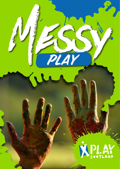

Mass of the Contract of the Contract of the Contract of the Contract of the Contract of The Contract of The Contract of The Contract of The Contract of The Contract of The Contract of The Contract of The Contract of The Co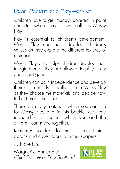### Dear Parent and Playworker,

Children love to get muddy, covered in paint and stuff when playing, we call this Messy Play!

Play is essential to children's development. Messy Play can help develop children's senses as they explore the different textures of materials.

Messy Play also helps children develop their imagination as they are allowed to play freely and investigate.

Children can gain independence and develop their problem solving skills through Messy Play as they choose the materials and decide how to best make their creations.

There are many materials which you can use for Messy Play and in this booklet we have included some recipes which you and the children can make together.

Remember to dress for mess .... old t-shirts, aprons and cover floors with newspapers

... Have fun!

Marguerite Hunter Blair *Chief Executive, Play Scotland*

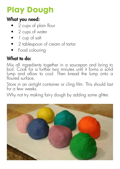# **Play Dough**

#### What you need:

- 2 cups of plain flour
- 2 cups of water
- 1 cup of salt
- 2 tablespoon of cream of tartar
- Food colouring

### What to do:

Mix all ingredients together in a saucepan and bring to boil. Cook for a further two minutes until it forms a solid lump and allow to cool. Then knead the lump onto a floured surface.

Store in an airtight container or cling film. This should last for a few weeks.

Why not try making fairy dough by adding some glitter.

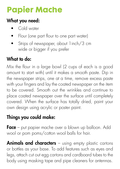# **Papier Mache**

### What you need:

- Cold water
- Flour (one part flour to one part water)
- Strips of newspaper, about 1inch/3 cm wide or bigger if you prefer

## What to do:

Mix the flour in a large bowl (2 cups of each is a good amount to start with) until it makes a smooth paste. Dip in the newspaper strips, one at a time, remove excess paste with your fingers and lay the coated newspaper on the item to be covered. Smooth out the wrinkles and continue to place coated newspaper over the surface until completely covered. When the surface has totally dried, paint your own design using acrylic or poster paint.

### Things you could make:

Face – put papier mache over a blown up balloon. Add wool or pom poms/cotton wool balls for hair.

Animals and characters - using empty plastic cartons or bottles as your base. To add features such as eyes and legs, attach cut out egg cartons and cardboard tubes to the body using masking tape and pipe cleaners for antennas.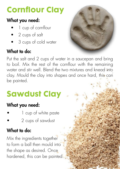# **Cornflour Clay**

### What you need:

- 1 cup of cornflour
- 2 cups of salt
- 3 cups of cold water

## What to do:



Put the salt and 2 cups of water in a saucepan and bring to boil. Mix the rest of the cornflour with the remaining water and stir well. Blend the two mixtures and knead into clay. Mould the clay into shapes and once hard, this can be painted.

# **Sawdust Clay**

### What you need:

- 1 cup of white paste
- 2 cups of sawdust

## What to do:

Mix the ingredients together to form a ball then mould into the shape as desired. Once hardened, this can be painted.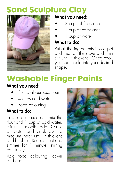# **Sand Sculpture Clay**



#### What you need:

- 2 cups of fine sand
- 1 cup of cornstarch
- 1 cup of water

### What to do:

Put all the ingredients into a pot and heat on the stove and then stir until it thickens. Once cool, you can mould into your desired shape.

# **Washable Finger Paints**

#### What you need:

- 1 cup all-purpose flour
- 4 cups cold water
- Food colouring

### What to do:

In a large saucepan, mix the flour and 1 cup of cold water. Stir until smooth. Add 3 cups of water and cook over a medium heat until it thickens and bubbles. Reduce heat and simmer for 1 minute, stirring constantly.

Add food colouring, cover and cool.

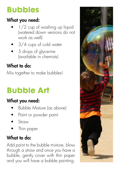# **Bubbles**

## What you need:

- 1/2 cup of washing up liquid (watered down versions do not work as well)
- 3/4 cups of cold water
- 5 drops of glycerine (available in chemists)

### What to do:

Mix together to make bubbles!

# **Bubble Art**

### What you need:

- Bubble Mixture (as above)
- Paint or powder paint
- Straw
- Thin paper

### What to do:

Add paint to the bubble mixture, blow through a straw and once you have a bubble, gently cover with thin paper and you will have a bubble painting.

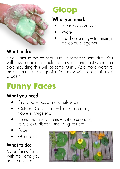

# **Gloop**

### What you need:

- 2 cups of cornflour
- Water
- Food colouring try mixing the colours together

## What to do:

Add water to the cornflour until it becomes semi firm. You will now be able to mould this in your hands but when you stop moulding this will become runny. Add more water to make it runnier and gooier. You may wish to do this over a basin!

# **Funny Faces**

### What you need:

- Dry food pasta, rice, pulses etc.
- Outdoor Collections leaves, conkers, flowers, twigs etc.
- Round the house items cut up sponges, lolly sticks, ribbon, straws, glitter etc
- Paper
- Glue Stick

## What to do:

Make funny faces with the items you have collected.

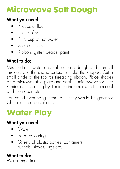# **Microwave Salt Dough**

### What you need:

- 4 cups of flour
- 1 cup of salt
- $\bullet$  1  $\frac{1}{2}$  cup of hot water
- Shape cutters
- Ribbon, glitter, beads, paint

### What to do:

Mix the flour, water and salt to make dough and then roll this out. Use the shape cutters to make the shapes. Cut a small circle at the top for threading ribbon. Place shapes on a microwavable plate and cook in microwave for 1 to 4 minutes increasing by 1 minute increments. Let them cool and then decorate!

You could even hang them up ... they would be great for Christmas tree decorations!

# **Water Play**

#### What you need:

- Water
- Food colouring
- Variety of plastic bottles, containers, funnels, sieves, jugs etc.

#### What to do: Water experiments!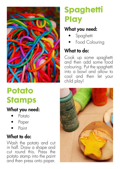

# **Potato Stamps**

#### What you need:

- Potato
- Paper
- Point

#### What to do:

Wash the potato and cut in half. Draw a shape and cut round this. Press the potato stamp into the paint and then press onto paper.

# **Spaghetti Play**

#### What you need:

- **Spaghetti**
- Food Colouring

### What to do:

Cook up some spaghetti and then add some food colouring. Put the spaghetti into a bowl and allow to cool and then let your child play!

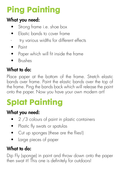# **Ping Painting**

## What you need:

- Strong frame i.e. shoe box
- Elastic bands to cover frame
- try various widths for different effects
- Paint
- Paper which will fit inside the frame
- Brushes

## What to do:

Place paper at the bottom of the frame. Stretch elastic bands over frame. Paint the elastic bands over the top of the frame. Ping the bands back which will release the paint onto the paper. Now you have your own modern art!

# **Splat Painting**

## What you need:

- 2 /3 colours of paint in plastic containers
- Plastic fly swats or spatulas
- Cut up sponges (these are the flies!)
- Large pieces of paper

## What to do:

Dip Fly (sponge) in paint and throw down onto the paper then swat it! This one is definitely for outdoors!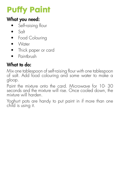# **Puffy Paint**

### What you need:

- Self-raising flour
- $\bullet$  Salt
- Food Colouring
- Water
- Thick paper or card
- Paintbrush

### What to do:

Mix one tablespoon of self-raising flour with one tablespoon of salt. Add food colouring and some water to make a gloop.

Paint the mixture onto the card. Microwave for 10- 30 seconds and the mixture will rise. Once cooled down, the mixture will harden.

Yoghurt pots are handy to put paint in if more than one child is using it.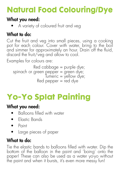# **Natural Food Colouring/Dye**

#### What you need:

• A variety of coloured fruit and veg

### What to do:

Cut the fruit and veg into small pieces, using a cooking pot for each colour. Cover with water, bring to the boil and simmer for approximately an hour. Drain off the fluid, discard the fruit/veg and allow to cool.

Examples for colours are:

```
Red cabbage = purple dye;
spinach or green pepper = green dye;
                Tumeric = yellow dye;
            Red pepper = red dye
```
# **Yo-Yo Splat Painting**

### What you need:

- Balloons filled with water
- Elastic Bands
- Paint
- Large pieces of paper

### What to do:

Tie the elastic bands to balloons filled with water. Dip the bottom of the balloon in the paint and 'boing' onto the paper! These can also be used as a water yo-yo without the paint and when it bursts, it's even more messy fun!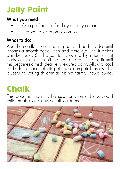# **Jelly Paint**

#### What you need:

- 1/2 cup of natural food dye in any colour
- 1 heaped tablespoon of cornflour

### What to do:

Add the cornflour to a cooking pot and add the dye until it forms a smooth paste, then add more dye until it makes a milky liquid. Stir this constantly over a high heat until it starts to thicken. Turn off the heat and continue to stir until this becomes a thick clear jelly textured paint. Allow to cool and add to a small plastic pot. Use clean paintbrushes. This is useful for young children as it is not harmful if swallowed.

# **Chalk**

This does not have to be used only on a black board children also love to use chalk outdoors...

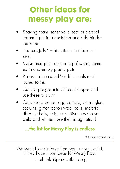# **Other ideas for messy play are:**

- Shaving foam (sensitive is best) or aerosol cream – put in a container and add hidden treasures!
- Treasure Jelly $* -$  hide items in it before it sets!
- Make mud pies using a jug of water, some earth and empty plastic pots
- Readymade custard\*- add cereals and pulses to this
- Cut up sponges into different shapes and use these to paint
- Cardboard boxes, egg cartons, paint, glue, sequins, glitter, cotton wool balls, material, ribbon, shells, twigs etc. Give these to your child and let them use their imagination!

#### ...the list for Messy Play is endless

*\*Not for consumption*

We would love to hear from you, or your child,<br>if they have more ideas for Messy Play! Email: info@playscotland.org